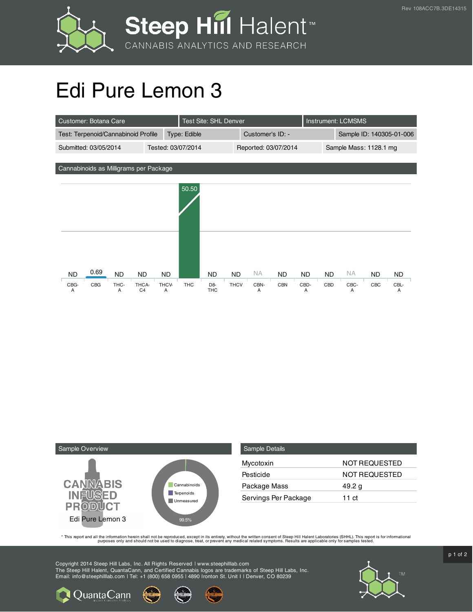



## Edi Pure Lemon 3

| Customer: Botana Care                                    | <b>Test Site: SHL Denver</b> |                                     |                          | Instrument: LCMSMS |                  |                          |           |           |
|----------------------------------------------------------|------------------------------|-------------------------------------|--------------------------|--------------------|------------------|--------------------------|-----------|-----------|
| Test: Terpenoid/Cannabinoid Profile                      |                              | Type: Edible                        |                          | Customer's ID: -   |                  | Sample ID: 140305-01-006 |           |           |
| Tested: 03/07/2014<br>Submitted: 03/05/2014              |                              |                                     | Reported: 03/07/2014     |                    |                  | Sample Mass: 1128.1 mg   |           |           |
|                                                          |                              |                                     |                          |                    |                  |                          |           |           |
| Cannabinoids as Milligrams per Package                   |                              |                                     |                          |                    |                  |                          |           |           |
|                                                          |                              | 50.50                               |                          |                    |                  |                          |           |           |
|                                                          |                              |                                     |                          |                    |                  |                          |           |           |
|                                                          |                              |                                     |                          |                    |                  |                          |           |           |
|                                                          |                              |                                     |                          |                    |                  |                          |           |           |
|                                                          |                              |                                     |                          |                    |                  |                          |           |           |
|                                                          |                              |                                     |                          |                    |                  |                          |           |           |
|                                                          |                              |                                     |                          |                    |                  |                          |           |           |
|                                                          |                              |                                     |                          |                    |                  |                          |           |           |
| 0.69<br><b>ND</b><br><b>ND</b><br><b>ND</b>              | <b>ND</b>                    | <b>ND</b>                           | <b>NA</b><br><b>ND</b>   | <b>ND</b>          | <b>ND</b><br>ND. | <b>NA</b>                | <b>ND</b> | <b>ND</b> |
| CBG<br>THC-<br>THCA-<br>CBG-<br>C <sub>4</sub><br>A<br>Α | THCV-<br>A                   | THC<br>D <sub>8</sub><br><b>THC</b> | <b>THCV</b><br>CBN-<br>A | <b>CBN</b>         | CBD-<br>CBD<br>A | CBC-<br>Α                | CBC       | CBL-<br>Α |



**Q** Quanta Cann

| Sample Details       |                      |
|----------------------|----------------------|
| Mycotoxin            | NOT REQUESTED        |
| Pesticide            | <b>NOT REQUESTED</b> |
| Package Mass         | 49.2 g               |
| Servings Per Package | 11 ct                |

This report and all the information herein shall not be reporduced, except in its entirety, without the written consent of Steep Hill Halent Laboratories (SHHL). This report is for informational all the instance, treat, or

Copyright 2014 Steep Hill Labs, Inc. All Rights Reserved | www.steephilllab.com The Steep Hill Halent, QuantaCann, and Certified Cannabis logos are trademarks of Steep Hill Labs, Inc. Email: info@steephilllab.com | Tel: +1 (800) 658 0955 | 4890 Ironton St. Unit I | Denver, CO 80239